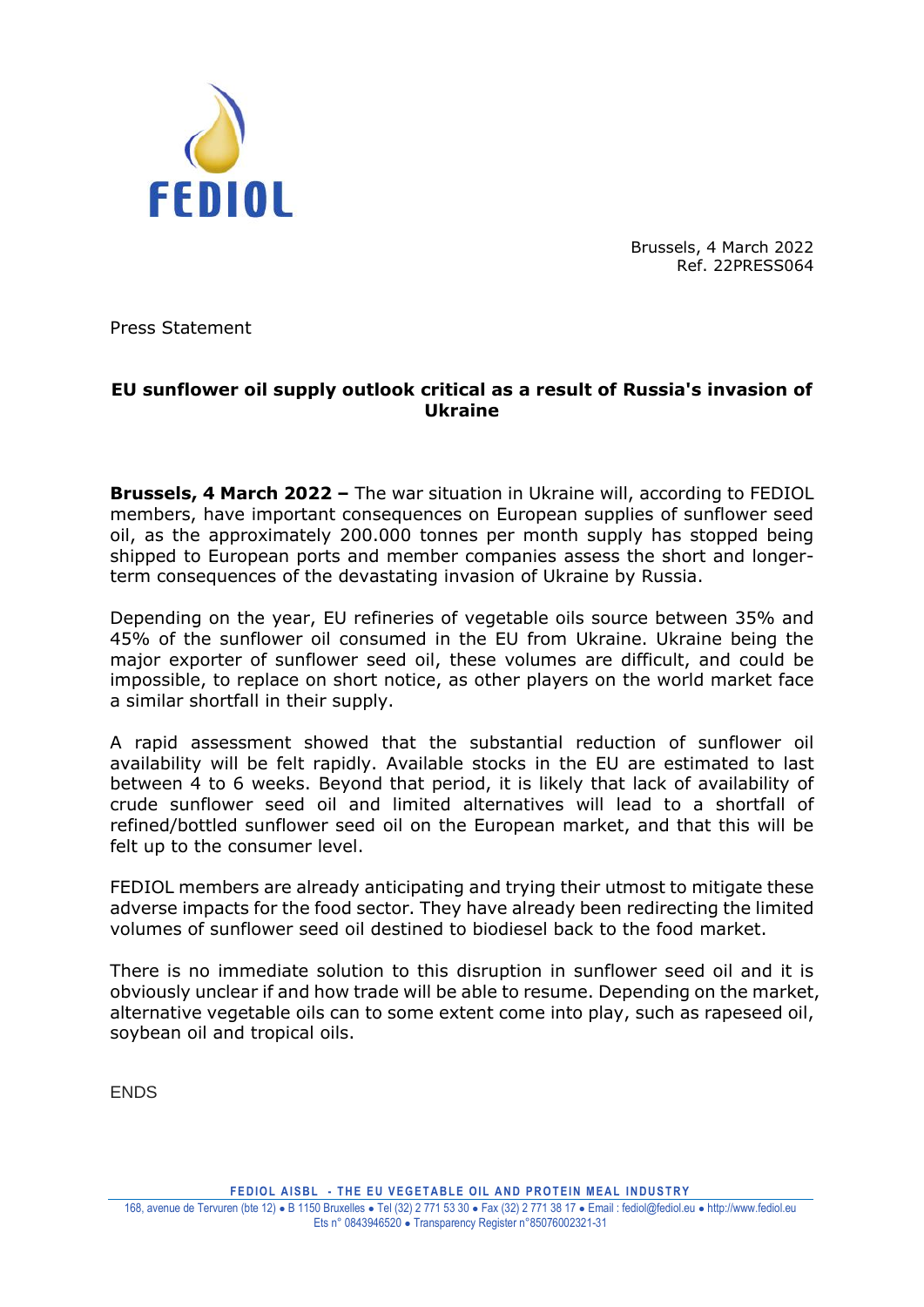

Brussels, 4 March 2022 Ref. 22PRESS064

Press Statement

## **EU sunflower oil supply outlook critical as a result of Russia's invasion of Ukraine**

**Brussels, 4 March 2022 –** The war situation in Ukraine will, according to FEDIOL members, have important consequences on European supplies of sunflower seed oil, as the approximately 200.000 tonnes per month supply has stopped being shipped to European ports and member companies assess the short and longerterm consequences of the devastating invasion of Ukraine by Russia.

Depending on the year, EU refineries of vegetable oils source between 35% and 45% of the sunflower oil consumed in the EU from Ukraine. Ukraine being the major exporter of sunflower seed oil, these volumes are difficult, and could be impossible, to replace on short notice, as other players on the world market face a similar shortfall in their supply.

A rapid assessment showed that the substantial reduction of sunflower oil availability will be felt rapidly. Available stocks in the EU are estimated to last between 4 to 6 weeks. Beyond that period, it is likely that lack of availability of crude sunflower seed oil and limited alternatives will lead to a shortfall of refined/bottled sunflower seed oil on the European market, and that this will be felt up to the consumer level.

FEDIOL members are already anticipating and trying their utmost to mitigate these adverse impacts for the food sector. They have already been redirecting the limited volumes of sunflower seed oil destined to biodiesel back to the food market.

There is no immediate solution to this disruption in sunflower seed oil and it is obviously unclear if and how trade will be able to resume. Depending on the market, alternative vegetable oils can to some extent come into play, such as rapeseed oil, soybean oil and tropical oils.

ENDS